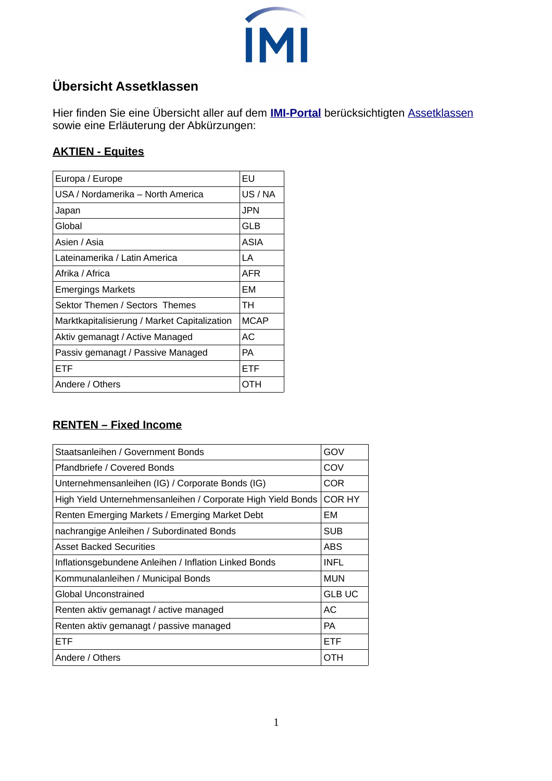

### **Übersicht Assetklassen**

Hier finden Sie eine Übersicht aller auf dem **[IMI-Portal](https://www.investment-manager.info/)** berücksichtigten [Assetklassen](https://www.investment-manager.info/page/asset-manager) sowie eine Erläuterung der Abkürzungen:

#### **AKTIEN - Equites**

| Europa / Europe                              | <b>FU</b>   |
|----------------------------------------------|-------------|
| USA / Nordamerika – North America            | US / NA     |
| Japan                                        | JPN         |
| Global                                       | GLB         |
| Asien / Asia                                 | ASIA        |
| Lateinamerika / Latin America                | LА          |
| Afrika / Africa                              | AFR         |
| <b>Emergings Markets</b>                     | FМ          |
| Sektor Themen / Sectors Themes               | TН          |
| Marktkapitalisierung / Market Capitalization | <b>MCAP</b> |
| Aktiv gemanagt / Active Managed              | AC.         |
| Passiv gemanagt / Passive Managed            | РA          |
| ETF                                          | <b>ETF</b>  |
| Andere / Others                              | ОТН         |
|                                              |             |

#### **RENTEN – Fixed Income**

| Staatsanleihen / Government Bonds                            | GOV           |
|--------------------------------------------------------------|---------------|
| Pfandbriefe / Covered Bonds                                  | COV           |
| Unternehmensanleihen (IG) / Corporate Bonds (IG)             | COR           |
| High Yield Unternehmensanleihen / Corporate High Yield Bonds | COR HY        |
| Renten Emerging Markets / Emerging Market Debt               | EM            |
| nachrangige Anleihen / Subordinated Bonds                    | <b>SUB</b>    |
| <b>Asset Backed Securities</b>                               | <b>ABS</b>    |
| Inflationsgebundene Anleihen / Inflation Linked Bonds        | INFL          |
| Kommunalanleihen / Municipal Bonds                           | <b>MUN</b>    |
| Global Unconstrained                                         | <b>GLB UC</b> |
| Renten aktiv gemanagt / active managed                       | АC            |
| Renten aktiv gemanagt / passive managed                      | <b>PA</b>     |
| <b>ETF</b>                                                   | <b>ETF</b>    |
| Andere / Others                                              | ОТН           |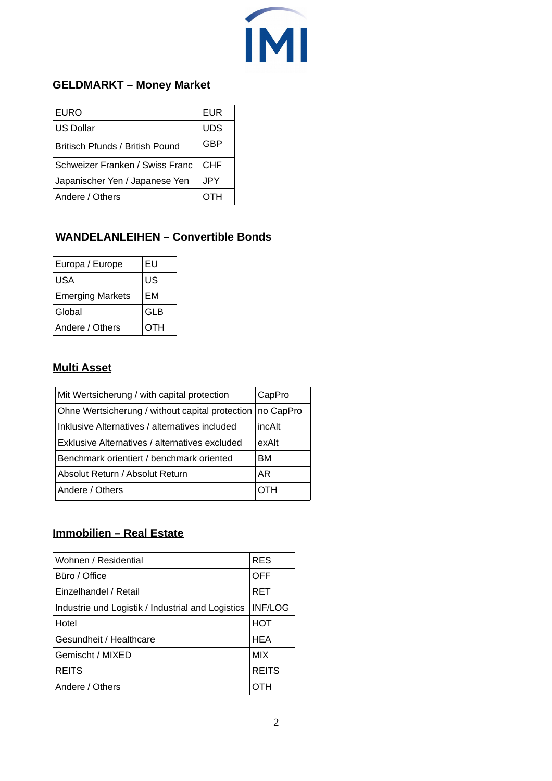## **IMI**

#### **GELDMARKT – Money Market**

| <b>EURO</b>                            | <b>EUR</b> |
|----------------------------------------|------------|
| <b>US Dollar</b>                       | <b>UDS</b> |
| <b>Britisch Pfunds / British Pound</b> | GBP        |
| Schweizer Franken / Swiss Franc        | CHF        |
| Japanischer Yen / Japanese Yen         | JPY.       |
| Andere / Others                        | OTH        |

#### **WANDELANLEIHEN – Convertible Bonds**

| Europa / Europe         | EU         |
|-------------------------|------------|
| USA                     | US         |
| <b>Emerging Markets</b> | <b>EM</b>  |
| Global                  | <b>GLB</b> |
| Andere / Others         | OTH        |

#### **Multi Asset**

| Mit Wertsicherung / with capital protection     | CapPro    |
|-------------------------------------------------|-----------|
| Ohne Wertsicherung / without capital protection | no CapPro |
| Inklusive Alternatives / alternatives included  | incAlt    |
| Exklusive Alternatives / alternatives excluded  | exAlt     |
| Benchmark orientiert / benchmark oriented       | BM        |
| Absolut Return / Absolut Return                 | AR        |
| Andere / Others                                 | ОТН       |
|                                                 |           |

#### **Immobilien – Real Estate**

| Wohnen / Residential                              | <b>RES</b>     |
|---------------------------------------------------|----------------|
| Büro / Office                                     | OFF            |
| Einzelhandel / Retail                             | <b>RET</b>     |
| Industrie und Logistik / Industrial and Logistics | <b>INF/LOG</b> |
| Hotel                                             | HOT            |
| Gesundheit / Healthcare                           | <b>HEA</b>     |
| Gemischt / MIXED                                  | <b>MIX</b>     |
| <b>REITS</b>                                      | <b>REITS</b>   |
| Andere / Others                                   |                |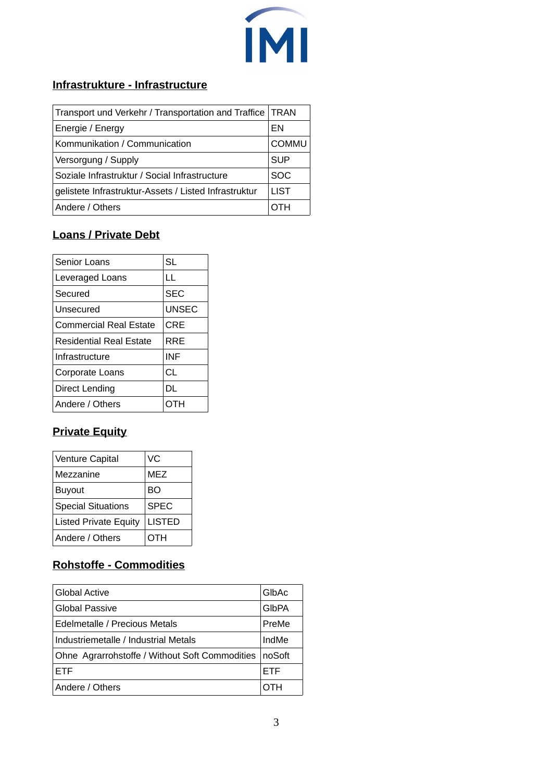

#### **Infrastrukture - Infrastructure**

| Transport und Verkehr / Transportation and Traffice   TRAN |              |
|------------------------------------------------------------|--------------|
| Energie / Energy                                           | FΝ           |
| Kommunikation / Communication                              | <b>COMMU</b> |
| Versorgung / Supply                                        | <b>SUP</b>   |
| Soziale Infrastruktur / Social Infrastructure              | <b>SOC</b>   |
| gelistete Infrastruktur-Assets / Listed Infrastruktur      | <b>LIST</b>  |
| Andere / Others                                            | отн          |

#### **Loans / Private Debt**

| Senior Loans                   | <b>SL</b>    |
|--------------------------------|--------------|
| Leveraged Loans                | LL           |
| Secured                        | <b>SEC</b>   |
| Unsecured                      | <b>UNSEC</b> |
| <b>Commercial Real Estate</b>  | CRE          |
| <b>Residential Real Estate</b> | RRF          |
| Infrastructure                 | INF          |
| Corporate Loans                | СL           |
| Direct Lending                 | DL           |
| Andere / Others                |              |

#### **Private Equity**

| Venture Capital              | VC            |
|------------------------------|---------------|
| Mezzanine                    | <b>MEZ</b>    |
| <b>Buyout</b>                | BΟ            |
| <b>Special Situations</b>    | <b>SPEC</b>   |
| <b>Listed Private Equity</b> | <b>LISTED</b> |
| Andere / Others              | отн           |

#### **Rohstoffe - Commodities**

| <b>Global Active</b>                           | GIbAc        |
|------------------------------------------------|--------------|
| <b>Global Passive</b>                          | <b>GIbPA</b> |
| Edelmetalle / Precious Metals                  | PreMe        |
| Industriemetalle / Industrial Metals           | IndMe        |
| Ohne Agrarrohstoffe / Without Soft Commodities | noSoft       |
| <b>FTF</b>                                     | <b>FTF</b>   |
| Andere / Others                                |              |